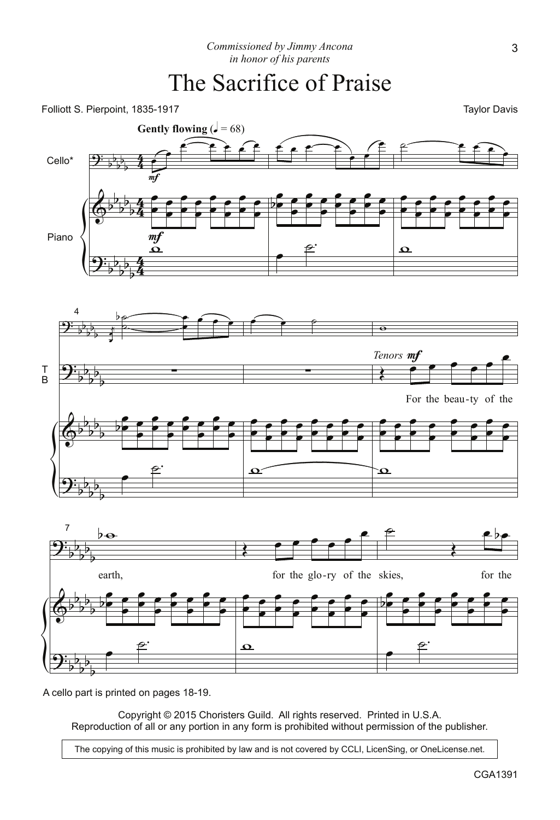## The Sacrifice of Praise



A cello part is printed on pages 18-19.

Copyright © 2015 Choristers Guild. All rights reserved. Printed in U.S.A. Reproduction of all or any portion in any form is prohibited without permission of the publisher.

The copying of this music is prohibited by law and is not covered by CCLI, LicenSing, or OneLicense.net.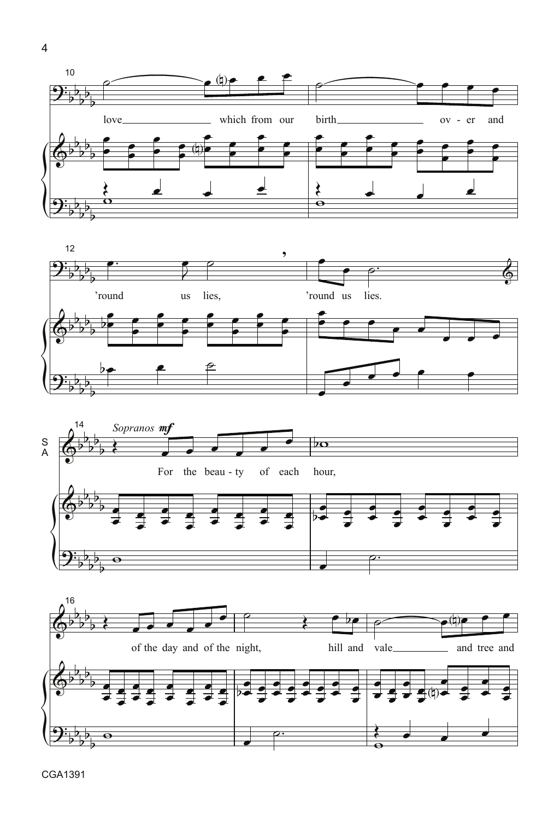







4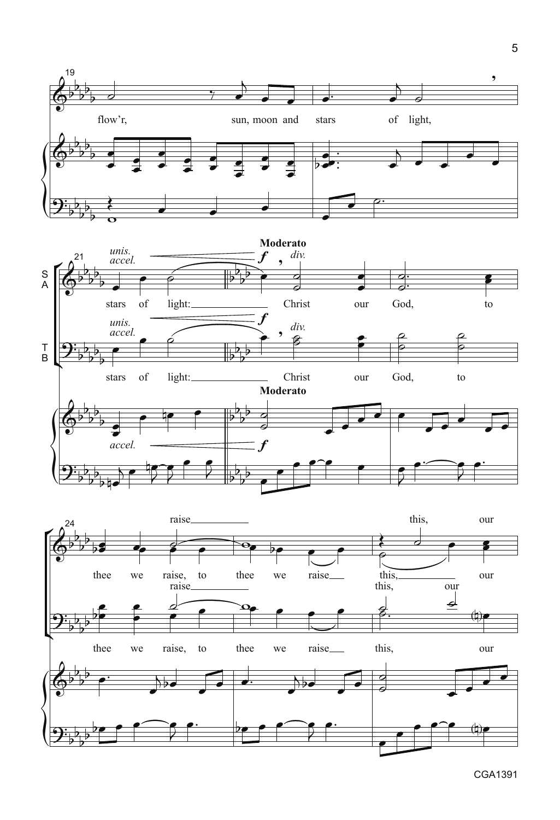





CGA1391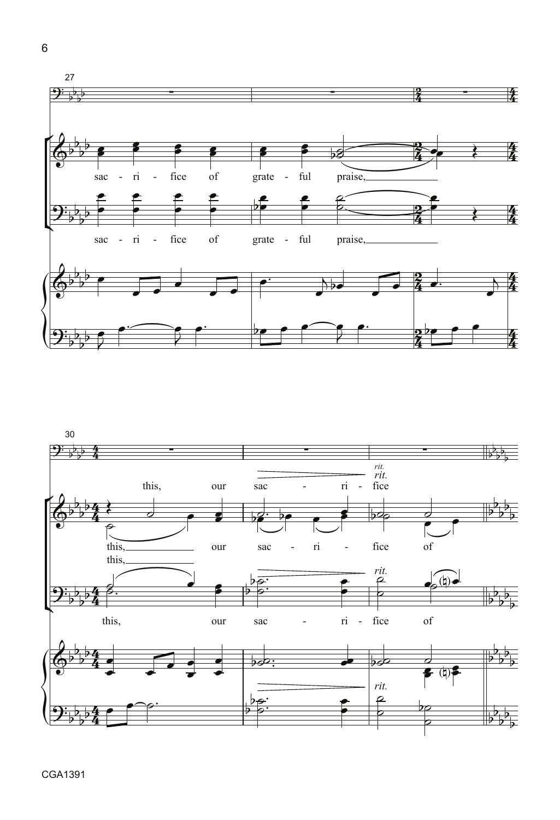



6